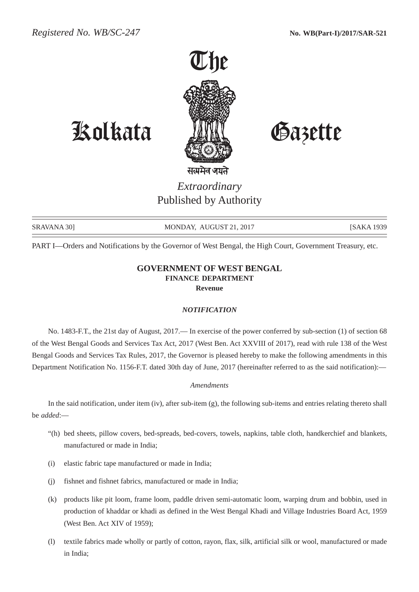

# Kolkata Gazette

*Extraordinary* Published by Authority

SRAVANA 30] MONDAY, AUGUST 21, 2017 [SAKA 1939

PART I—Orders and Notifications by the Governor of West Bengal, the High Court, Government Treasury, etc.

## **GOVERNMENT OF WEST BENGAL FINANCE DEPARTMENT Revenue**

#### *NOTIFICATION*

No. 1483-F.T., the 21st day of August, 2017.— In exercise of the power conferred by sub-section (1) of section 68 of the West Bengal Goods and Services Tax Act, 2017 (West Ben. Act XXVIII of 2017), read with rule 138 of the West Bengal Goods and Services Tax Rules, 2017, the Governor is pleased hereby to make the following amendments in this Department Notification No. 1156-F.T. dated 30th day of June, 2017 (hereinafter referred to as the said notification):—

### *Amendments*

In the said notification, under item (iv), after sub-item (g), the following sub-items and entries relating thereto shall be *added*:—

- "(h) bed sheets, pillow covers, bed-spreads, bed-covers, towels, napkins, table cloth, handkerchief and blankets, manufactured or made in India;
- (i) elastic fabric tape manufactured or made in India;
- (j) fishnet and fishnet fabrics, manufactured or made in India;
- (k) products like pit loom, frame loom, paddle driven semi-automatic loom, warping drum and bobbin, used in production of khaddar or khadi as defined in the West Bengal Khadi and Village Industries Board Act, 1959 (West Ben. Act XIV of 1959);
- (l) textile fabrics made wholly or partly of cotton, rayon, flax, silk, artificial silk or wool, manufactured or made in India;